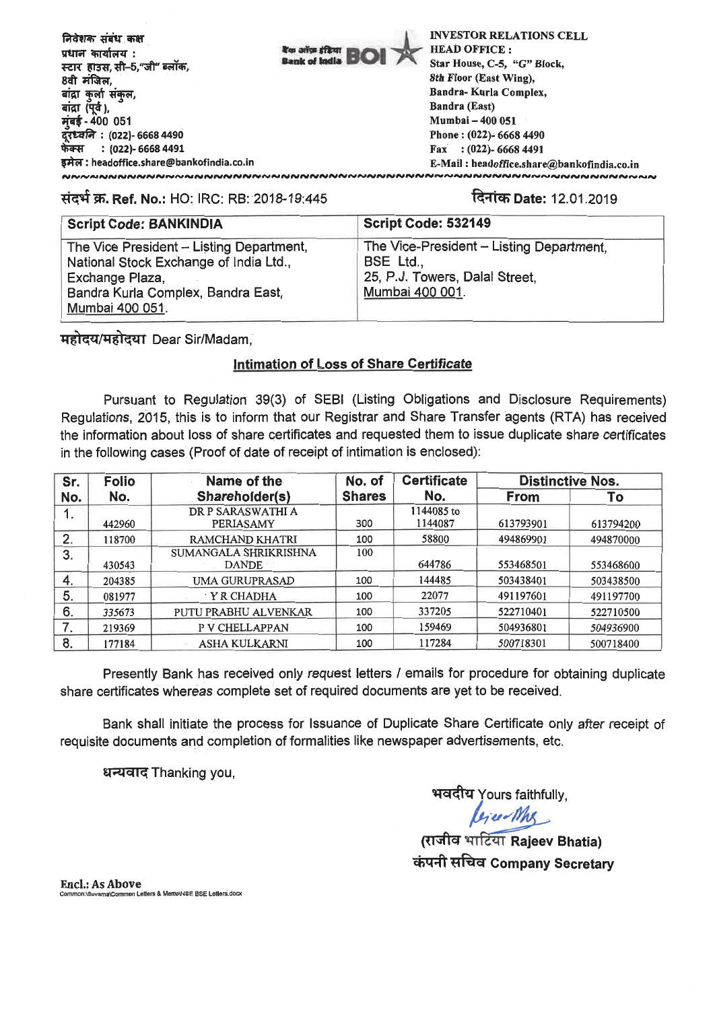|                                                             |                                       | <b>INVESTOR RELATIONS CELL</b>             |
|-------------------------------------------------------------|---------------------------------------|--------------------------------------------|
| निवेशक संबंध कक्ष                                           |                                       |                                            |
| प्रधान कार्यालय :                                           | <b>To any stan  </b><br>Bank of India | <b>HEAD OFFICE:</b>                        |
| स्टार  हाउस, सी-5,"जी" ब्लॉक,                               |                                       | Star House, C-5, "G" Block,                |
| 8वी मंजिल,                                                  |                                       | 8th Floor (East Wing).                     |
| बांद्रा कुर्ला संकुल,                                       |                                       | Bandra-Kurla Complex,                      |
| बांद्रा (पूर्व ),                                           |                                       | Bandra (East)                              |
| मुंबई - 400 051                                             |                                       | Mumbai - 400 051                           |
| दूरध्वनि : (022)- 6668 4490<br>फेक्स     : (022)- 6668 4491 |                                       | Phone: (022)- 6668 4490                    |
|                                                             |                                       | Fax: $(022)$ - 6668 4491                   |
| इमेल : headoffice.share@bankofindia.co.in                   |                                       | E-Mail: headoffice.share@bankofindia.co.in |
|                                                             |                                       |                                            |

# T.**Ref. No.:** HO: IRC: RB: 2018-19:445 **-itch Date:** 12.01.2019

| <b>Script Code: BANKINDIA</b>                                                      | Script Code: 532149                                   |
|------------------------------------------------------------------------------------|-------------------------------------------------------|
| The Vice President - Listing Department,<br>National Stock Exchange of India Ltd., | The Vice-President - Listing Department,<br>BSE Ltd., |
| Exchange Plaza,                                                                    | 25, P.J. Towers, Dalal Street,                        |
| Bandra Kurla Complex, Bandra East,<br>Mumbai 400 051.                              | Mumbai 400 001.                                       |

महोदय/महोदया Dear Sir/Madam.

# **Intimation of Loss of Share Certificate**

Pursuant to Regulation 39(3) of SEBI (Listing Obligations and Disclosure Requirements) Regulations, 2015, this is to inform that our Registrar and Share Transfer agents (RTA) has received the information about loss of share certificates and requested them to issue duplicate share certificates in the following cases (Proof of date of receipt of intimation is enclosed):

| Sr.      | <b>Folio</b> | Name of the                           | No. of        | <b>Certificate</b>    | <b>Distinctive Nos.</b> |           |  |  |
|----------|--------------|---------------------------------------|---------------|-----------------------|-------------------------|-----------|--|--|
| No.      | No.          | Shareholder(s)                        | <b>Shares</b> | No.                   | <b>From</b>             | To        |  |  |
|          | 442960       | DR P SARASWATHI A<br><b>PERIASAMY</b> | 300           | 1144085 to<br>1144087 | 613793901               | 613794200 |  |  |
| 2.       | 118700       | RAMCHAND KHATRI                       | 100           | 58800                 | 494869901               | 494870000 |  |  |
| 3.       | 430543       | SUMANGALA SHRIKRISHNA<br><b>DANDE</b> | 100           | 644786                | 553468501               | 553468600 |  |  |
| 4.       | 204385       | UMA GURUPRASAD                        | 100           | 144485                | 503438401               | 503438500 |  |  |
| 5.       | 081977       | Y R CHADHA                            | 100           | 22077                 | 491197601               | 491197700 |  |  |
| 6.       | 335673       | PUTU PRABHU ALVENKAR                  | 100           | 337205                | 522710401               | 522710500 |  |  |
| 7<br>. . | 219369       | P V CHELLAPPAN                        | 100           | 159469                | 504936801               | 504936900 |  |  |
| 8.       | 177184       | <b>ASHA KULKARNI</b>                  | 100           | 117284                | 500718301               | 500718400 |  |  |

Presently Bank has received only request letters / emails for procedure for obtaining duplicate share certificates whereas complete set of required documents are yet to be received.

Bank shall initiate the process for Issuance of Duplicate Share Certificate only after receipt of requisite documents and completion of formalities like newspaper advertisements, etc.

धन्यवाद Thanking you,

भवदीय Yours faithfully,

**(ti ci Rajeev Bhatia)**  ehkal tAci **Company Secretary** 

**Encl.: As Above** \_<br>Letters & MemoWSE BSE Letters.docx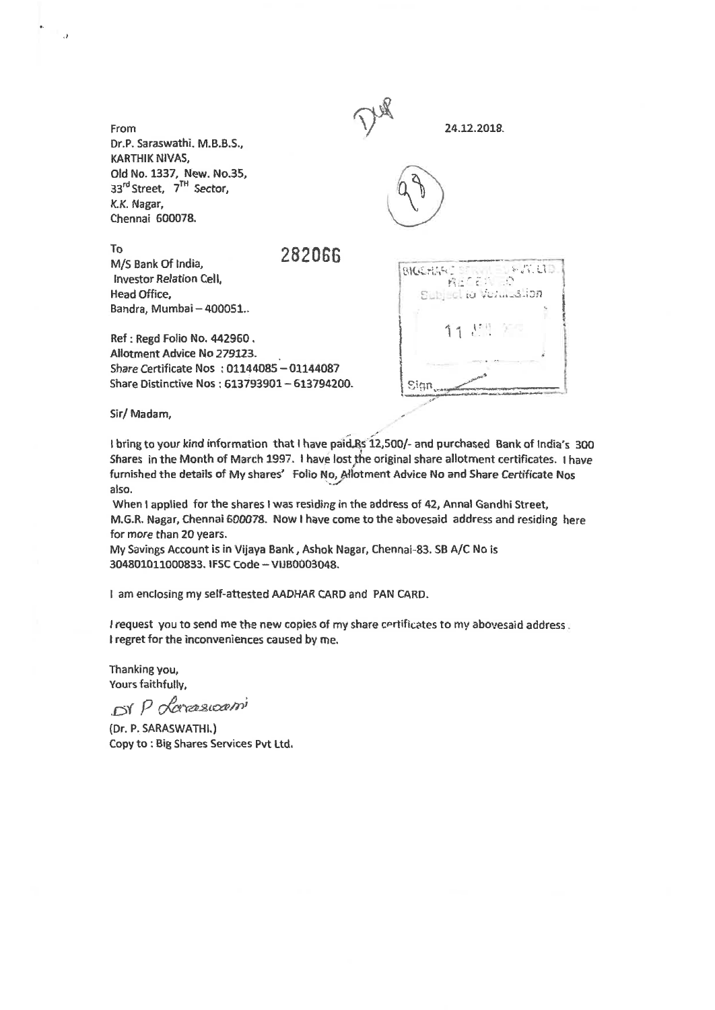| From<br>Dr.P. Saraswathi. M.B.B.S.,<br>KARTHIK NIVAS,                                                                                                   | 24.12.2018.                            |
|---------------------------------------------------------------------------------------------------------------------------------------------------------|----------------------------------------|
| Old No. 1337, New. No.35,<br>33rd Street, 7 <sup>TH</sup> Sector,<br>K.K. Nagar,<br>Chennai 600078.                                                     |                                        |
| To<br>282066<br>M/S Bank Of India,<br><b>Investor Relation Cell,</b><br>Head Office,<br>Bandra, Mumbai - 400051                                         | F.A.UD<br><b>BIGGHAR</b> :<br>病房 有药 三路 |
| Ref: Regd Folio No. 442960.<br>Allotment Advice No 279123.<br>Share Certificate Nos: 01144085 - 01144087<br>Share Distinctive Nos: 613793901-613794200. | 11 51 20                               |

Sir/ Madam,<br>I bring to your kind information that I have paid Rs 12,500/- and purchased Bank of India's 300 Shares in the Month of March 1997. I have lost the original share allotment certificates. I have

furnished the details of My shares' Folio No, Allotment Advice No and Share Certificate Nos also. When I applied for the shares I was residing in the address of 42, Annal Gandhi Street,

M.G.R. Nagar, Chennai 600078. Now I have come to the abovesaid address and residing here for more than 20 years.

My Savings Account is in Vijaya Bank, Ashok Nagar, Chennai-83. SB A/C No is 304801011000833. IFSC Code — VIJB0003048.

I am enclosing my self-attested AADHAR CARD and PAN CARD.

I request you to send me the new copies of my share certificates to my abovesaid address. I regret for the inconveniences caused by me.

Thanking you, Yours faithfully,

Sir/ Madam,

ر.

*Dr P derassocioni* 

(Dr. P. SARASWATHL) Copy to : Big Shares Services Pvt Ltd.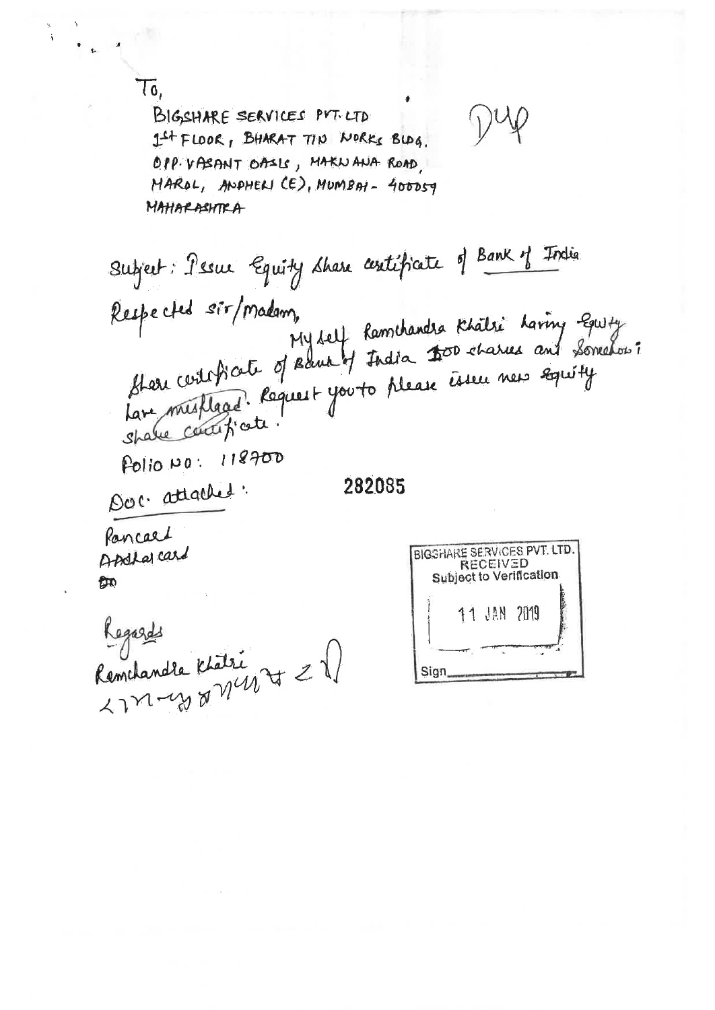Tó,

BIGSHARE SERVICES PYT. LTD If FLOOR, BHARAT TID WORKS BLDG. OPP. VASANT OASLS, MAKNANA ROAD. MAROL, ANDHELL CE), MUMBAL - 400059 MAHARASHTRA

Subject: Pesur Equity Share centificate of Bank of India Mere certificate of Bank of India 200 charnes and Somehor: Respected sir/madam, lare mettage. Réquest you to please isseu nes equity Polio NO: 118700 Doc. attached. 282085 Pancael BIGSHARE SERVICES PVT. LTD. Andla card **RECEIVED Subject to Verification**  $$m$$ 11 JAN 2019

Sign

Regards<br>Remchandre Khatri<br>2771-470 01 110 70 21)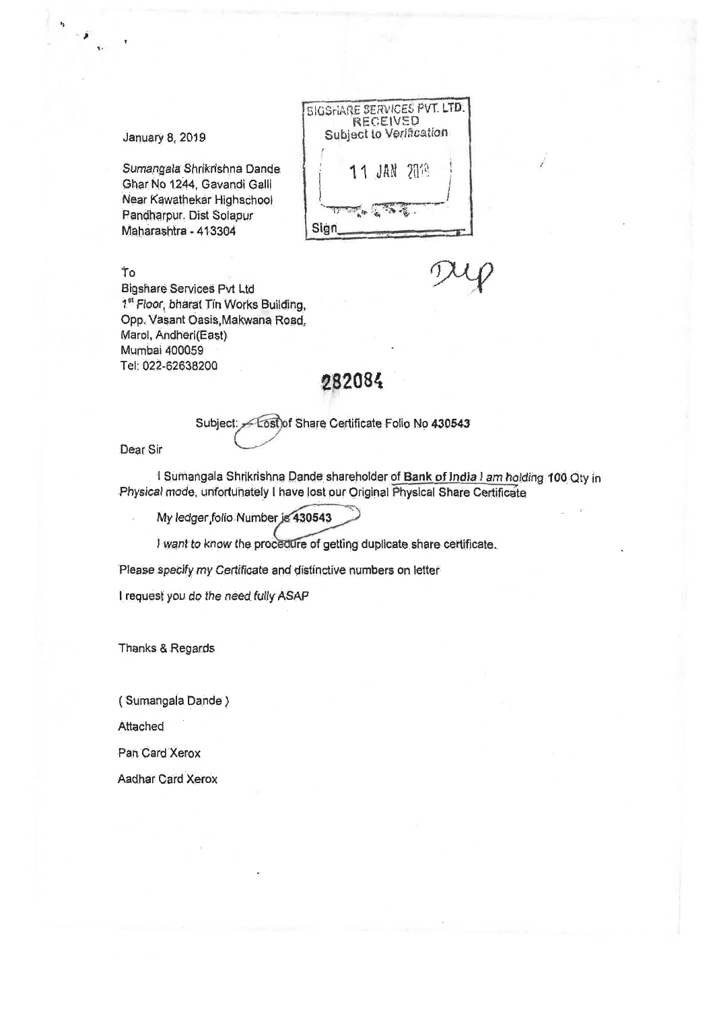SIGSHARE SERVICES PVT. LTD. RECEIVED Subject to Verification **JAN 2819** Sign 0

### January 8, 2019

Sumangala Shrikrishna Dande Ghar No 1244, Gavandi Qall Near Kawathekar HighsChool Pandharpur. Dist Solapur Maharashtra = 413304

To

o•

 $\ast_{\mathfrak{p}}$ 

*9te*

Bigshare.Services Pvt Ltd 1<sup>st</sup> Floor, bharat Tin Works Building, Opp. Vasant Oasis,Makwana Road, Marol, Andheri(East) Mumbai 400059 Tel: 022-62638200

# 282084

Subject: - Lost of Share Certificate Folio No 430543

Dear Sir

1 Sumangala Shrikrishna Dande shareholder of Bank of India I am holding 100 Qty in Physical mode, unfortunately I have lost our Original Physical Share Certificate

My ledger folio.Number is 430543

I want to know the procedure of getting duplicate share certificate.

Please specify my Certificate and distinctive numbers on letter

I request you do the need fully ASAP

Thanks & Regards

( Sumangala Dande )

Attached

Pan Card Xerox

Aadhar Card Xerox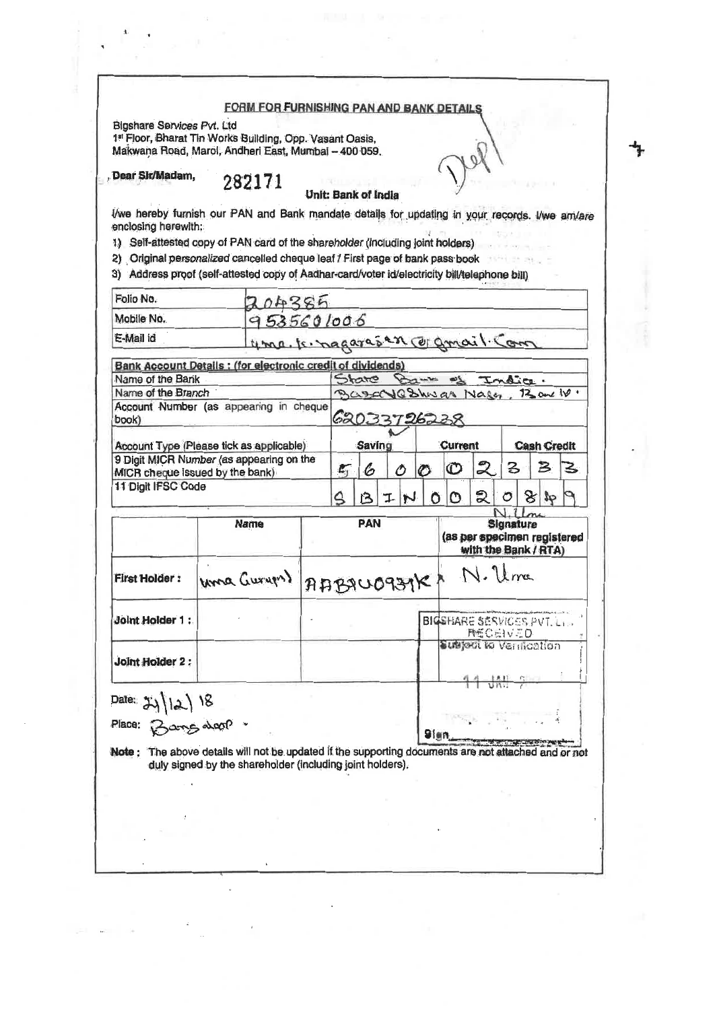#### FORM FOR FURNISHING PAN AND BANK DETAILS

 $\theta$ 

Bigshare Services Pvt. Ltd

1st Floor, Bharat Tin Works Building, Opp. Vasant Oasis, Makwana Road, Marol, Andheri East, Mumbai - 400 059.

Dear Sit/Madam, 282171

#### Unit: Bank of India

I/we hereby furnish our PAN and Bank mandate details for updating in your records. I/we am/are enclosing herewith:

1) Self-attested copy of PAN card of the shareholder (including joint holders)

2) Original personalized cancelled cheque leaf / First page of bank pass book

3) Address proof (self-attested copy of Aadhar-card/voter id/electricity bill/telephone bill)

| Mobile No.<br>E-Mail id<br>Bank Account Details : (for electronic credit of dividends)<br>Name of the Bank<br>Name of the Branch<br>Account Number (as appearing in cheque<br>book)<br>Account Type (Please tick as applicable)<br>9 Digit MICR Number (as appearing on the<br>MICR cheque issued by the bank)<br>11 Digit IFSC Code | 204385<br>9535601006<br>uma. Is nagaras en corgnail Com   |            |                  |               |    |              |                                                                         | State Bank of                   |          | India |                    |                         |                            |  |  |  |  |  |  |  |  |  |
|--------------------------------------------------------------------------------------------------------------------------------------------------------------------------------------------------------------------------------------------------------------------------------------------------------------------------------------|-----------------------------------------------------------|------------|------------------|---------------|----|--------------|-------------------------------------------------------------------------|---------------------------------|----------|-------|--------------------|-------------------------|----------------------------|--|--|--|--|--|--|--|--|--|
|                                                                                                                                                                                                                                                                                                                                      |                                                           |            |                  |               |    |              |                                                                         |                                 |          |       |                    |                         |                            |  |  |  |  |  |  |  |  |  |
|                                                                                                                                                                                                                                                                                                                                      |                                                           |            |                  |               |    |              |                                                                         |                                 |          |       |                    |                         |                            |  |  |  |  |  |  |  |  |  |
|                                                                                                                                                                                                                                                                                                                                      |                                                           |            |                  |               |    |              |                                                                         |                                 |          |       |                    |                         |                            |  |  |  |  |  |  |  |  |  |
|                                                                                                                                                                                                                                                                                                                                      |                                                           |            |                  |               |    |              |                                                                         |                                 |          |       |                    |                         |                            |  |  |  |  |  |  |  |  |  |
|                                                                                                                                                                                                                                                                                                                                      |                                                           |            |                  |               |    |              |                                                                         |                                 |          |       |                    |                         | BasayaShwar Nager, Bank W. |  |  |  |  |  |  |  |  |  |
|                                                                                                                                                                                                                                                                                                                                      |                                                           |            |                  |               |    |              |                                                                         | 62033726238                     |          |       |                    |                         |                            |  |  |  |  |  |  |  |  |  |
|                                                                                                                                                                                                                                                                                                                                      |                                                           |            |                  | <b>Saving</b> |    |              |                                                                         | <b>Current</b>                  |          |       | <b>Cash Credit</b> |                         |                            |  |  |  |  |  |  |  |  |  |
|                                                                                                                                                                                                                                                                                                                                      |                                                           |            | $L_{\rm T}$<br>6 |               | Ô  |              | $\circ$                                                                 | $\mathbb O$                     | 2.       | 3     |                    | $\mathbf{\mathcal{B}}%$ | 3                          |  |  |  |  |  |  |  |  |  |
|                                                                                                                                                                                                                                                                                                                                      |                                                           |            | ۵                | ı٩            | T. | $\mathbf{N}$ | Õ                                                                       | Μ                               | වූ       | O     | $8\,$              |                         |                            |  |  |  |  |  |  |  |  |  |
|                                                                                                                                                                                                                                                                                                                                      |                                                           |            |                  |               |    |              |                                                                         |                                 |          |       |                    |                         |                            |  |  |  |  |  |  |  |  |  |
|                                                                                                                                                                                                                                                                                                                                      | <b>Name</b>                                               | <b>PAN</b> |                  |               |    |              | <b>Signature</b><br>(as per specimen registered<br>with the Bank / RTA) |                                 |          |       |                    |                         |                            |  |  |  |  |  |  |  |  |  |
| <b>First Holder:</b>                                                                                                                                                                                                                                                                                                                 | uma Guryon)                                               |            |                  |               |    |              |                                                                         | AABJU0939K1 N. Uma              |          |       |                    |                         |                            |  |  |  |  |  |  |  |  |  |
| <b>Joint Holder 1:</b>                                                                                                                                                                                                                                                                                                               |                                                           |            |                  |               |    |              |                                                                         | <b>BIGSHARE SERVICES PVT.L.</b> | 時任CHIVED |       |                    |                         |                            |  |  |  |  |  |  |  |  |  |
| <b>Joint Holder 2:</b>                                                                                                                                                                                                                                                                                                               |                                                           |            |                  |               |    |              |                                                                         | Suspect to Vernoction           |          |       |                    |                         |                            |  |  |  |  |  |  |  |  |  |
|                                                                                                                                                                                                                                                                                                                                      |                                                           |            |                  |               |    |              |                                                                         |                                 |          |       |                    |                         |                            |  |  |  |  |  |  |  |  |  |
| Date: $24/12/18$<br>Place: Barng avonp.                                                                                                                                                                                                                                                                                              |                                                           |            |                  |               |    |              | 9ien                                                                    |                                 |          |       |                    |                         |                            |  |  |  |  |  |  |  |  |  |
| Note : The above details will not be updated if the supporting documents are not attached and or not                                                                                                                                                                                                                                 | duly signed by the shareholder (including joint holders). |            |                  |               |    |              |                                                                         |                                 |          |       |                    |                         |                            |  |  |  |  |  |  |  |  |  |
|                                                                                                                                                                                                                                                                                                                                      |                                                           |            |                  |               |    |              |                                                                         |                                 |          |       |                    |                         |                            |  |  |  |  |  |  |  |  |  |
|                                                                                                                                                                                                                                                                                                                                      |                                                           |            |                  |               |    |              |                                                                         |                                 |          |       |                    |                         |                            |  |  |  |  |  |  |  |  |  |
|                                                                                                                                                                                                                                                                                                                                      |                                                           |            |                  |               |    |              |                                                                         |                                 |          |       |                    |                         |                            |  |  |  |  |  |  |  |  |  |